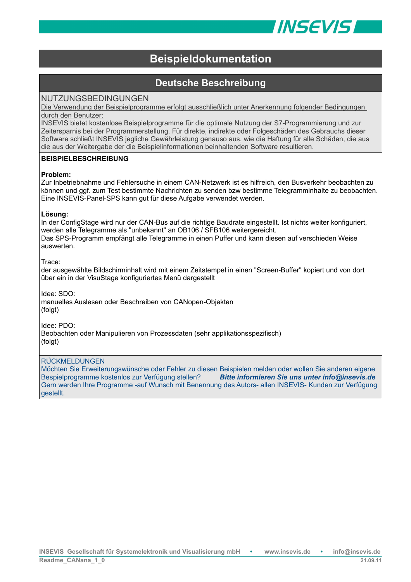

# **Beispieldokumentation**

# **Deutsche Beschreibung**

## NUTZUNGSBEDINGUNGEN

Die Verwendung der Beispielprogramme erfolgt ausschließlich unter Anerkennung folgender Bedingungen durch den Benutzer:

INSEVIS bietet kostenlose Beispielprogramme für die optimale Nutzung der S7-Programmierung und zur Zeitersparnis bei der Programmerstellung. Für direkte, indirekte oder Folgeschäden des Gebrauchs dieser Software schließt INSEVIS jegliche Gewährleistung genauso aus, wie die Haftung für alle Schäden, die aus die aus der Weitergabe der die Beispielinformationen beinhaltenden Software resultieren.

### **BEISPIELBESCHREIBUNG**

### **Problem:**

Zur Inbetriebnahme und Fehlersuche in einem CAN-Netzwerk ist es hilfreich, den Busverkehr beobachten zu können und ggf. zum Test bestimmte Nachrichten zu senden bzw bestimme Telegramminhalte zu beobachten. Eine INSEVIS-Panel-SPS kann gut für diese Aufgabe verwendet werden.

### **Lösung:**

In der ConfigStage wird nur der CAN-Bus auf die richtige Baudrate eingestellt. Ist nichts weiter konfiguriert, werden alle Telegramme als "unbekannt" an OB106 / SFB106 weitergereicht. Das SPS-Programm empfängt alle Telegramme in einen Puffer und kann diesen auf verschieden Weise auswerten.

Trace:

der ausgewählte Bildschirminhalt wird mit einem Zeitstempel in einen "Screen-Buffer" kopiert und von dort über ein in der VisuStage konfiguriertes Menü dargestellt

Idee: SDO:

manuelles Auslesen oder Beschreiben von CANopen-Objekten (folgt)

Idee: PDO:

Beobachten oder Manipulieren von Prozessdaten (sehr applikationsspezifisch) (folgt)

### RÜCKMELDUNGEN

Möchten Sie Erweiterungswünsche oder Fehler zu diesen Beispielen melden oder wollen Sie anderen eigene Bespielprogramme kostenlos zur Verfügung stellen? *Bitte informieren Sie uns unter info@insevis.de* Gern werden Ihre Programme -auf Wunsch mit Benennung des Autors- allen INSEVIS- Kunden zur Verfügung gestellt.